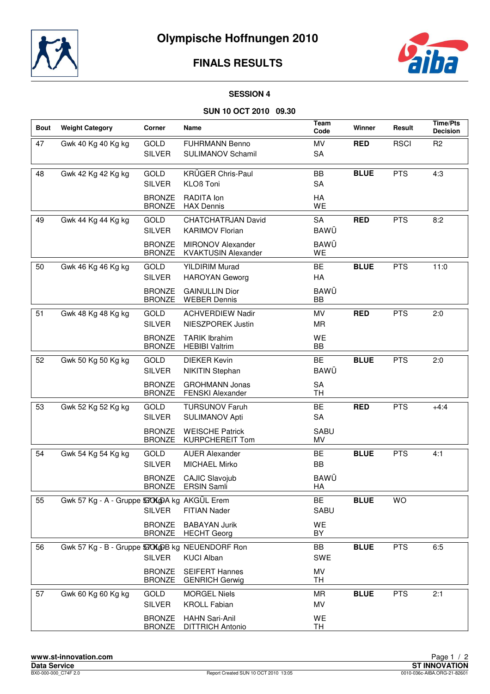

# **FINALS RESULTS**



#### **SESSION 4**

### **SUN 10 OCT 2010 09.30**

| <b>Bout</b> | <b>Weight Category</b>                           | Corner                         | Name                                                   | <b>Team</b><br>Code      | Winner      | Result      | <b>Time/Pts</b><br><b>Decision</b> |
|-------------|--------------------------------------------------|--------------------------------|--------------------------------------------------------|--------------------------|-------------|-------------|------------------------------------|
| 47          | Gwk 40 Kg 40 Kg kg                               | <b>GOLD</b><br><b>SILVER</b>   | <b>FUHRMANN Benno</b><br><b>SULIMANOV Schamil</b>      | MV<br>SA                 | <b>RED</b>  | <b>RSCI</b> | R <sub>2</sub>                     |
| 48          | Gwk 42 Kg 42 Kg kg                               | <b>GOLD</b><br><b>SILVER</b>   | <b>KRÜGER Chris-Paul</b><br><b>KLOß Toni</b>           | BB<br>SA                 | <b>BLUE</b> | <b>PTS</b>  | 4:3                                |
|             |                                                  | <b>BRONZE</b><br><b>BRONZE</b> | RADITA Ion<br><b>HAX Dennis</b>                        | HA<br>WE                 |             |             |                                    |
| 49          | Gwk 44 Kg 44 Kg kg                               | <b>GOLD</b><br><b>SILVER</b>   | <b>CHATCHATRJAN David</b><br><b>KARIMOV Florian</b>    | <b>SA</b><br><b>BAWÜ</b> | <b>RED</b>  | <b>PTS</b>  | 8:2                                |
|             |                                                  | <b>BRONZE</b><br><b>BRONZE</b> | <b>MIRONOV Alexander</b><br><b>KVAKTUSIN Alexander</b> | <b>BAWÜ</b><br>WE        |             |             |                                    |
| 50          | Gwk 46 Kg 46 Kg kg                               | GOLD<br><b>SILVER</b>          | <b>YILDIRIM Murad</b><br><b>HAROYAN Geworg</b>         | BE<br>HA                 | <b>BLUE</b> | <b>PTS</b>  | 11:0                               |
|             |                                                  | <b>BRONZE</b><br><b>BRONZE</b> | <b>GAINULLIN Dior</b><br><b>WEBER Dennis</b>           | <b>BAWÜ</b><br>BB        |             |             |                                    |
| 51          | Gwk 48 Kg 48 Kg kg                               | <b>GOLD</b><br><b>SILVER</b>   | <b>ACHVERDIEW Nadir</b><br>NIESZPOREK Justin           | MV<br>MR                 | <b>RED</b>  | <b>PTS</b>  | 2:0                                |
|             |                                                  | <b>BRONZE</b><br><b>BRONZE</b> | <b>TARIK Ibrahim</b><br><b>HEBIBI Valtrim</b>          | WE<br>BB                 |             |             |                                    |
| 52          | Gwk 50 Kg 50 Kg kg                               | GOLD<br><b>SILVER</b>          | <b>DIEKER Kevin</b><br><b>NIKITIN Stephan</b>          | BE<br><b>BAWÜ</b>        | <b>BLUE</b> | <b>PTS</b>  | 2:0                                |
|             |                                                  | <b>BRONZE</b><br><b>BRONZE</b> | <b>GROHMANN Jonas</b><br><b>FENSKI Alexander</b>       | <b>SA</b><br>TН          |             |             |                                    |
| 53          | Gwk 52 Kg 52 Kg kg                               | <b>GOLD</b><br><b>SILVER</b>   | <b>TURSUNOV Faruh</b><br><b>SULIMANOV Apti</b>         | BE<br>SA                 | <b>RED</b>  | <b>PTS</b>  | $+4:4$                             |
|             |                                                  | <b>BRONZE</b><br><b>BRONZE</b> | <b>WEISCHE Patrick</b><br><b>KURPCHEREIT Tom</b>       | <b>SABU</b><br>MV        |             |             |                                    |
| 54          | Gwk 54 Kg 54 Kg kg                               | GOLD<br><b>SILVER</b>          | <b>AUER Alexander</b><br><b>MICHAEL Mirko</b>          | BE<br>BB                 | <b>BLUE</b> | <b>PTS</b>  | 4:1                                |
|             |                                                  | <b>BRONZE</b><br>BRONZE        | <b>CAJIC Slavojub</b><br>ERSIN Samli                   | BAWÜ<br>HA               |             |             |                                    |
| 55          | Gwk 57 Kg - A - Gruppe 530 KgDA kg AKGÜL Erem    | <b>SILVER</b>                  | <b>FITIAN Nader</b>                                    | BE<br><b>SABU</b>        | <b>BLUE</b> | <b>WO</b>   |                                    |
|             |                                                  | <b>BRONZE</b><br><b>BRONZE</b> | <b>BABAYAN Jurik</b><br><b>HECHT</b> Georg             | WE<br>BY                 |             |             |                                    |
| 56          | Gwk 57 Kg - B - Gruppe 530 KgDB kg NEUENDORF Ron | <b>SILVER</b>                  | <b>KUCI Alban</b>                                      | BB<br><b>SWE</b>         | <b>BLUE</b> | <b>PTS</b>  | 6:5                                |
|             |                                                  | <b>BRONZE</b><br><b>BRONZE</b> | <b>SEIFERT Hannes</b><br><b>GENRICH Gerwig</b>         | MV<br>TН                 |             |             |                                    |
| 57          | Gwk 60 Kg 60 Kg kg                               | GOLD<br><b>SILVER</b>          | <b>MORGEL Niels</b><br><b>KROLL Fabian</b>             | MR<br>MV                 | <b>BLUE</b> | <b>PTS</b>  | 2:1                                |
|             |                                                  | <b>BRONZE</b><br><b>BRONZE</b> | <b>HAHN Sari-Anil</b><br><b>DITTRICH Antonio</b>       | WE<br>TH                 |             |             |                                    |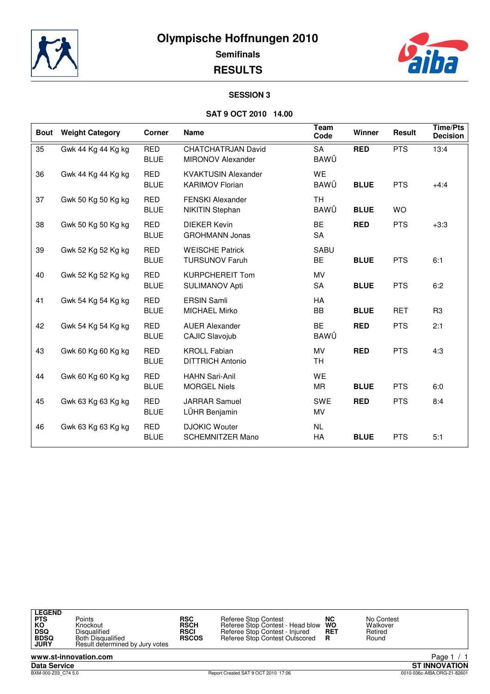



**RESULTS**

## **SESSION 3**

### **SAT 9 OCT 2010 14.00**

| <b>Bout</b> | <b>Weight Category</b> | Corner                    | <b>Name</b>                                           | Team<br>Code             | Winner      | Result     | <b>Time/Pts</b><br><b>Decision</b> |
|-------------|------------------------|---------------------------|-------------------------------------------------------|--------------------------|-------------|------------|------------------------------------|
| 35          | Gwk 44 Kg 44 Kg kg     | <b>RED</b><br><b>BLUE</b> | <b>CHATCHATRJAN David</b><br><b>MIRONOV Alexander</b> | <b>SA</b><br>BAWÜ        | <b>RED</b>  | <b>PTS</b> | 13:4                               |
| 36          | Gwk 44 Kg 44 Kg kg     | <b>RED</b><br><b>BLUE</b> | <b>KVAKTUSIN Alexander</b><br><b>KARIMOV Florian</b>  | WE<br><b>BAWÜ</b>        | <b>BLUE</b> | <b>PTS</b> | $+4:4$                             |
| 37          | Gwk 50 Kg 50 Kg kg     | <b>RED</b><br><b>BLUE</b> | <b>FENSKI Alexander</b><br><b>NIKITIN Stephan</b>     | <b>TH</b><br><b>BAWÜ</b> | <b>BLUE</b> | <b>WO</b>  |                                    |
| 38          | Gwk 50 Kg 50 Kg kg     | <b>RED</b><br><b>BLUE</b> | <b>DIEKER Kevin</b><br><b>GROHMANN Jonas</b>          | BE<br><b>SA</b>          | <b>RED</b>  | <b>PTS</b> | $+3:3$                             |
| 39          | Gwk 52 Kg 52 Kg kg     | <b>RED</b><br><b>BLUE</b> | <b>WEISCHE Patrick</b><br><b>TURSUNOV Faruh</b>       | <b>SABU</b><br>BE        | <b>BLUE</b> | <b>PTS</b> | 6:1                                |
| 40          | Gwk 52 Kg 52 Kg kg     | <b>RED</b><br><b>BLUE</b> | <b>KURPCHEREIT Tom</b><br><b>SULIMANOV Apti</b>       | <b>MV</b><br>SA          | <b>BLUE</b> | <b>PTS</b> | 6:2                                |
| 41          | Gwk 54 Kg 54 Kg kg     | <b>RED</b><br><b>BLUE</b> | <b>ERSIN Samli</b><br>MICHAEL Mirko                   | HA<br>BB                 | <b>BLUE</b> | <b>RET</b> | R <sub>3</sub>                     |
| 42          | Gwk 54 Kg 54 Kg kg     | <b>RED</b><br><b>BLUE</b> | <b>AUER Alexander</b><br><b>CAJIC Slavojub</b>        | <b>BE</b><br><b>BAWÜ</b> | <b>RED</b>  | <b>PTS</b> | 2:1                                |
| 43          | Gwk 60 Kg 60 Kg kg     | <b>RED</b><br><b>BLUE</b> | <b>KROLL Fabian</b><br><b>DITTRICH Antonio</b>        | MV<br>TH                 | <b>RED</b>  | <b>PTS</b> | 4:3                                |
| 44          | Gwk 60 Kg 60 Kg kg     | <b>RED</b><br><b>BLUE</b> | <b>HAHN Sari-Anil</b><br><b>MORGEL Niels</b>          | WE<br>MR                 | <b>BLUE</b> | <b>PTS</b> | 6:0                                |
| 45          | Gwk 63 Kg 63 Kg kg     | <b>RED</b><br><b>BLUE</b> | <b>JARRAR Samuel</b><br>LÜHR Benjamin                 | SWE<br>MV                | <b>RED</b>  | <b>PTS</b> | 8:4                                |
| 46          | Gwk 63 Kg 63 Kg kg     | <b>RED</b><br><b>BLUE</b> | <b>DJOKIC Wouter</b><br><b>SCHEMNITZER Mano</b>       | NL<br>HA                 | <b>BLUE</b> | <b>PTS</b> | 5:1                                |



**Data Service ST INNOVATION** BXM-000-Z03\_C74 5.0 Report Created SAT 9 OCT 2010 17:06 0010-036c-AIBA.ORG-21-82601

Page 1 / 1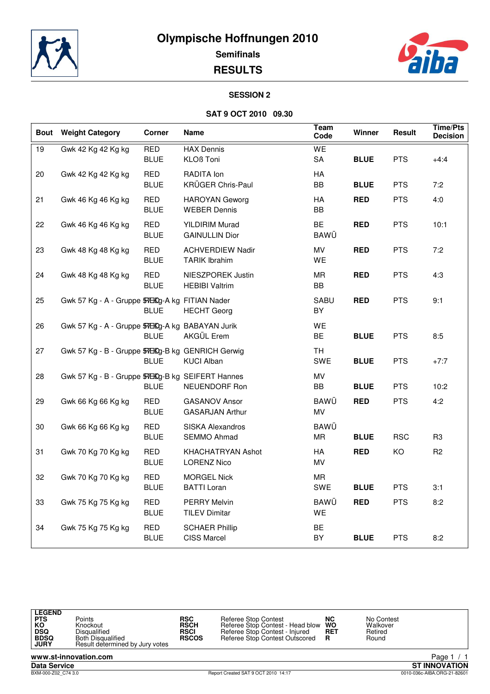



#### **SESSION 2**

#### **SAT 9 OCT 2010 09.30**

| <b>Bout</b> | <b>Weight Category</b>                           | <b>Corner</b>             | Name                                            | Team<br>Code             | Winner      | Result     | <b>Time/Pts</b><br><b>Decision</b> |
|-------------|--------------------------------------------------|---------------------------|-------------------------------------------------|--------------------------|-------------|------------|------------------------------------|
| 19          | Gwk 42 Kg 42 Kg kg                               | <b>RED</b><br><b>BLUE</b> | <b>HAX Dennis</b><br><b>KLOß Toni</b>           | WE<br>${\sf SA}$         | <b>BLUE</b> | <b>PTS</b> | $+4:4$                             |
| 20          | Gwk 42 Kg 42 Kg kg                               | <b>RED</b><br><b>BLUE</b> | RADITA Ion<br>KRÜGER Chris-Paul                 | <b>HA</b><br>BB          | <b>BLUE</b> | <b>PTS</b> | 7:2                                |
| 21          | Gwk 46 Kg 46 Kg kg                               | <b>RED</b><br><b>BLUE</b> | <b>HAROYAN Geworg</b><br><b>WEBER Dennis</b>    | HA<br>BB                 | <b>RED</b>  | <b>PTS</b> | 4:0                                |
| 22          | Gwk 46 Kg 46 Kg kg                               | <b>RED</b><br><b>BLUE</b> | <b>YILDIRIM Murad</b><br><b>GAINULLIN Dior</b>  | <b>BE</b><br><b>BAWÜ</b> | <b>RED</b>  | <b>PTS</b> | 10:1                               |
| 23          | Gwk 48 Kg 48 Kg kg                               | <b>RED</b><br><b>BLUE</b> | <b>ACHVERDIEW Nadir</b><br><b>TARIK Ibrahim</b> | MV<br>WE                 | <b>RED</b>  | <b>PTS</b> | 7:2                                |
| 24          | Gwk 48 Kg 48 Kg kg                               | <b>RED</b><br><b>BLUE</b> | NIESZPOREK Justin<br><b>HEBIBI Valtrim</b>      | <b>MR</b><br>BB          | <b>RED</b>  | <b>PTS</b> | 4:3                                |
| 25          | Gwk 57 Kg - A - Gruppe 57EKg-A kg FITIAN Nader   | BLUE                      | <b>HECHT</b> Georg                              | <b>SABU</b><br>BY        | <b>RED</b>  | <b>PTS</b> | 9:1                                |
| 26          | Gwk 57 Kg - A - Gruppe 57EKg-A kg BABAYAN Jurik  | <b>BLUE</b>               | AKGÜL Erem                                      | WE<br><b>BE</b>          | <b>BLUE</b> | <b>PTS</b> | 8:5                                |
| 27          | Gwk 57 Kg - B - Gruppe 57EKg-B kg GENRICH Gerwig | <b>BLUE</b>               | <b>KUCI Alban</b>                               | <b>TH</b><br>SWE         | <b>BLUE</b> | <b>PTS</b> | $+7:7$                             |
| 28          | Gwk 57 Kg - B - Gruppe 57EKg-B kg SEIFERT Hannes | BLUE                      | NEUENDORF Ron                                   | MV<br>BB                 | <b>BLUE</b> | <b>PTS</b> | 10:2                               |
| 29          | Gwk 66 Kg 66 Kg kg                               | <b>RED</b><br><b>BLUE</b> | <b>GASANOV Ansor</b><br><b>GASARJAN Arthur</b>  | <b>BAWÜ</b><br>MV        | <b>RED</b>  | <b>PTS</b> | 4:2                                |
| 30          | Gwk 66 Kg 66 Kg kg                               | <b>RED</b><br><b>BLUE</b> | <b>SISKA Alexandros</b><br>SEMMO Ahmad          | <b>BAWÜ</b><br><b>MR</b> | <b>BLUE</b> | <b>RSC</b> | R <sub>3</sub>                     |
| 31          | Gwk 70 Kg 70 Kg kg                               | <b>RED</b><br><b>BLUE</b> | KHACHATRYAN Ashot<br><b>LORENZ Nico</b>         | HA<br>MV                 | <b>RED</b>  | KO         | R <sub>2</sub>                     |
| 32          | Gwk 70 Kg 70 Kg kg                               | <b>RED</b><br><b>BLUE</b> | <b>MORGEL Nick</b><br><b>BATTI Loran</b>        | <b>MR</b><br>SWE         | <b>BLUE</b> | <b>PTS</b> | 3:1                                |
| 33          | Gwk 75 Kg 75 Kg kg                               | <b>RED</b><br><b>BLUE</b> | <b>PERRY Melvin</b><br><b>TILEV Dimitar</b>     | <b>BAWÜ</b><br>WE        | <b>RED</b>  | <b>PTS</b> | 8:2                                |
| 34          | Gwk 75 Kg 75 Kg kg                               | <b>RED</b><br><b>BLUE</b> | <b>SCHAER Phillip</b><br><b>CISS Marcel</b>     | <b>BE</b><br>BY          | <b>BLUE</b> | <b>PTS</b> | 8:2                                |



PTS Points Points<br>**KO Market Head Direct Profession Profession Profession Profession Profession Profession Profession Profession**<br>Network Disqualified Profession Profession Profession Profession Profession Profession Profe

**Data Service ST INNOVATION** Page 1 / 1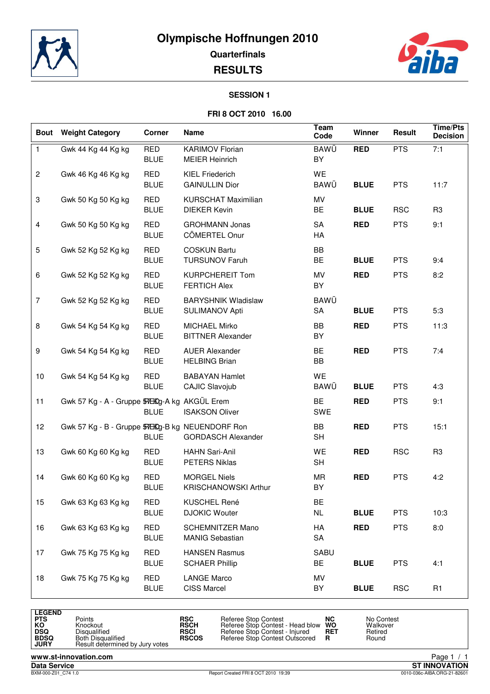**Olympische Hoffnungen 2010**



**Quarterfinals**

**RESULTS**



#### **SESSION 1**

#### **FRI 8 OCT 2010 16.00**

| <b>Bout</b>    | <b>Weight Category</b>                          | Corner                    | Name                                                | <b>Team</b><br>Code | Winner      | Result     | <b>Time/Pts</b><br><b>Decision</b> |
|----------------|-------------------------------------------------|---------------------------|-----------------------------------------------------|---------------------|-------------|------------|------------------------------------|
| $\mathbf{1}$   | Gwk 44 Kg 44 Kg kg                              | <b>RED</b><br><b>BLUE</b> | <b>KARIMOV Florian</b><br><b>MEIER Heinrich</b>     | BAWÜ<br>BY          | <b>RED</b>  | <b>PTS</b> | 7:1                                |
| $\overline{c}$ | Gwk 46 Kg 46 Kg kg                              | <b>RED</b><br><b>BLUE</b> | <b>KIEL Friederich</b><br><b>GAINULLIN Dior</b>     | WE<br>BAWÜ          | <b>BLUE</b> | <b>PTS</b> | 11:7                               |
| 3              | Gwk 50 Kg 50 Kg kg                              | <b>RED</b><br><b>BLUE</b> | <b>KURSCHAT Maximilian</b><br><b>DIEKER Kevin</b>   | MV<br><b>BE</b>     | <b>BLUE</b> | <b>RSC</b> | R <sub>3</sub>                     |
| 4              | Gwk 50 Kg 50 Kg kg                              | <b>RED</b><br><b>BLUE</b> | <b>GROHMANN Jonas</b><br>CÖMERTEL Onur              | <b>SA</b><br>HA     | <b>RED</b>  | <b>PTS</b> | 9:1                                |
| 5              | Gwk 52 Kg 52 Kg kg                              | <b>RED</b><br><b>BLUE</b> | <b>COSKUN Bartu</b><br><b>TURSUNOV Faruh</b>        | BB<br>BE            | <b>BLUE</b> | <b>PTS</b> | 9:4                                |
| 6              | Gwk 52 Kg 52 Kg kg                              | <b>RED</b><br><b>BLUE</b> | <b>KURPCHEREIT Tom</b><br><b>FERTICH Alex</b>       | MV<br>BY            | <b>RED</b>  | <b>PTS</b> | 8:2                                |
| $\overline{7}$ | Gwk 52 Kg 52 Kg kg                              | <b>RED</b><br><b>BLUE</b> | <b>BARYSHNIK Wladislaw</b><br><b>SULIMANOV Apti</b> | <b>BAWÜ</b><br>SA   | <b>BLUE</b> | <b>PTS</b> | 5:3                                |
| 8              | Gwk 54 Kg 54 Kg kg                              | <b>RED</b><br><b>BLUE</b> | <b>MICHAEL Mirko</b><br><b>BITTNER Alexander</b>    | BB<br>BY            | <b>RED</b>  | <b>PTS</b> | 11:3                               |
| 9              | Gwk 54 Kg 54 Kg kg                              | <b>RED</b><br><b>BLUE</b> | <b>AUER Alexander</b><br><b>HELBING Brian</b>       | <b>BE</b><br>BB     | <b>RED</b>  | <b>PTS</b> | 7:4                                |
| 10             | Gwk 54 Kg 54 Kg kg                              | RED<br><b>BLUE</b>        | <b>BABAYAN Hamlet</b><br>CAJIC Slavojub             | WE<br>BAWÜ          | <b>BLUE</b> | <b>PTS</b> | 4:3                                |
| 11             | Gwk 57 Kg - A - Gruppe 57EKg-A kg AKGÜL Erem    | <b>BLUE</b>               | <b>ISAKSON Oliver</b>                               | <b>BE</b><br>SWE    | <b>RED</b>  | <b>PTS</b> | 9:1                                |
| 12             | Gwk 57 Kg - B - Gruppe 57EKg-B kg NEUENDORF Ron | <b>BLUE</b>               | <b>GORDASCH Alexander</b>                           | BB<br><b>SH</b>     | <b>RED</b>  | <b>PTS</b> | 15:1                               |
| 13             | Gwk 60 Kg 60 Kg kg                              | <b>RED</b><br><b>BLUE</b> | <b>HAHN Sari-Anil</b><br>PETERS Niklas              | WE<br><b>SH</b>     | <b>RED</b>  | <b>RSC</b> | R <sub>3</sub>                     |
| 14             | Gwk 60 Kg 60 Kg kg                              | <b>RED</b><br><b>BLUE</b> | <b>MORGEL Niels</b><br><b>KRISCHANOWSKI Arthur</b>  | <b>MR</b><br>BY     | <b>RED</b>  | <b>PTS</b> | 4:2                                |
| 15             | Gwk 63 Kg 63 Kg kg                              | <b>RED</b><br><b>BLUE</b> | KUSCHEL René<br><b>DJOKIC Wouter</b>                | BE<br><b>NL</b>     | <b>BLUE</b> | <b>PTS</b> | 10:3                               |
| 16             | Gwk 63 Kg 63 Kg kg                              | <b>RED</b><br><b>BLUE</b> | SCHEMNITZER Mano<br><b>MANIG Sebastian</b>          | HA<br>SA            | <b>RED</b>  | <b>PTS</b> | 8:0                                |
| 17             | Gwk 75 Kg 75 Kg kg                              | <b>RED</b><br><b>BLUE</b> | <b>HANSEN Rasmus</b><br><b>SCHAER Phillip</b>       | SABU<br>BE          | <b>BLUE</b> | <b>PTS</b> | 4:1                                |
| 18             | Gwk 75 Kg 75 Kg kg                              | <b>RED</b><br><b>BLUE</b> | <b>LANGE Marco</b><br>CISS Marcel                   | MV<br>BY            | <b>BLUE</b> | <b>RSC</b> | R <sub>1</sub>                     |

| <b>LEGEND</b><br>PTS<br>ΚO<br>DSQ<br><b>BDSQ</b><br><b>JURY</b> | Points<br>Knockout<br>Disqualified<br><b>Both Disqualified</b><br>Result determined by Jury votes | <b>RSC</b><br><b>RSCH</b><br><b>RSCI</b><br><b>RSCOS</b> | Referee Stop Contest<br>Referee Stop Contest - Head blow<br>Referee Stop Contest - Injured<br>Referee Stop Contest Outscored | NC<br><b>WO</b><br><b>RET</b><br>R | No Contest<br>Walkover<br>Retired<br>Round |
|-----------------------------------------------------------------|---------------------------------------------------------------------------------------------------|----------------------------------------------------------|------------------------------------------------------------------------------------------------------------------------------|------------------------------------|--------------------------------------------|
|-----------------------------------------------------------------|---------------------------------------------------------------------------------------------------|----------------------------------------------------------|------------------------------------------------------------------------------------------------------------------------------|------------------------------------|--------------------------------------------|

**www.st-innovation.com**